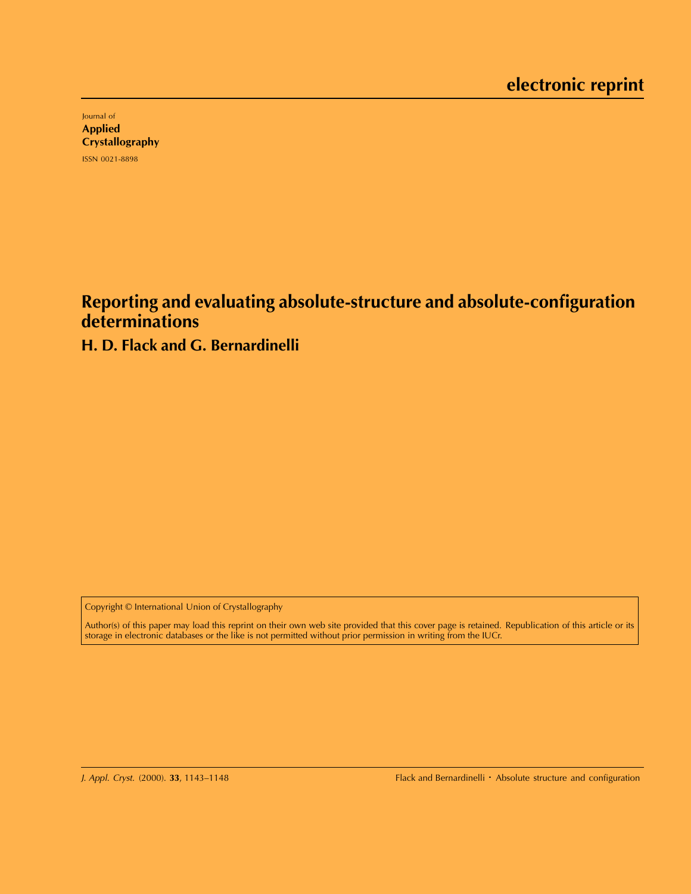Journal of Applied **Crystallography** ISSN 0021-8898

**Reporting and evaluating absolute-structure and absolute-configuration determinations**

# **H. D. Flack and G. Bernardinelli**

Copyright © International Union of Crystallography

Author(s) of this paper may load this reprint on their own web site provided that this cover page is retained. Republication of this article or its storage in electronic databases or the like is not permitted without prior permission in writing from the IUCr.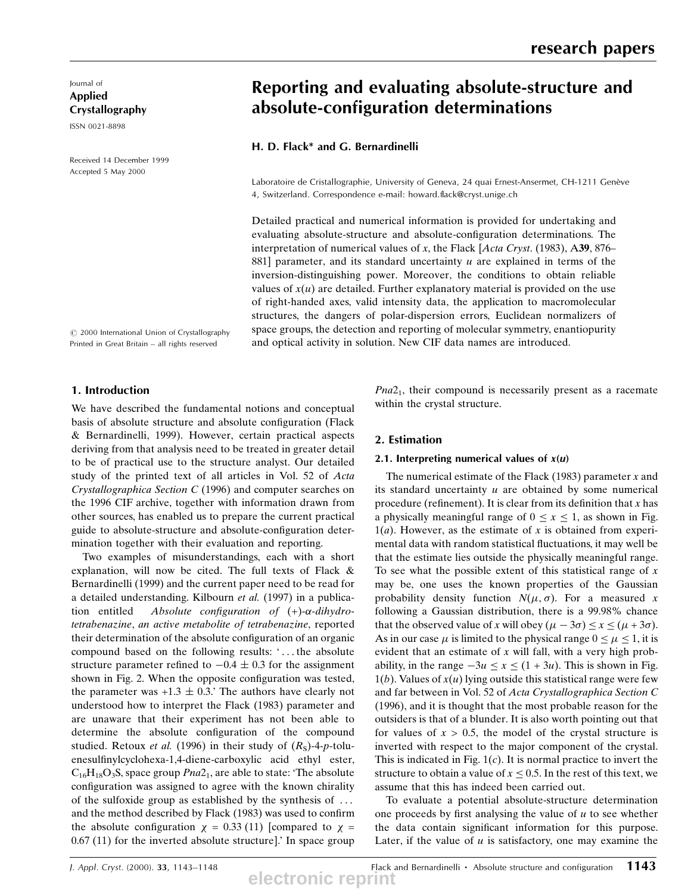Journal of Applied Crystallography

ISSN 0021-8898

Received 14 December 1999 Accepted 5 May 2000

# Reporting and evaluating absolute-structure and absolute-configuration determinations

## H. D. Flack\* and G. Bernardinelli

Laboratoire de Cristallographie, University of Geneva, 24 quai Ernest-Ansermet, CH-1211 Genève 4, Switzerland. Correspondence e-mail: howard.flack@cryst.unige.ch

Detailed practical and numerical information is provided for undertaking and evaluating absolute-structure and absolute-configuration determinations. The interpretation of numerical values of x, the Flack [Acta Cryst. (1983), A39, 876 $-$ 881] parameter, and its standard uncertainty  $u$  are explained in terms of the inversion-distinguishing power. Moreover, the conditions to obtain reliable values of  $x(u)$  are detailed. Further explanatory material is provided on the use of right-handed axes, valid intensity data, the application to macromolecular structures, the dangers of polar-dispersion errors, Euclidean normalizers of space groups, the detection and reporting of molecular symmetry, enantiopurity and optical activity in solution. New CIF data names are introduced.

 $©$  2000 International Union of Crystallography Printed in Great Britain - all rights reserved

### 1. Introduction

We have described the fundamental notions and conceptual basis of absolute structure and absolute configuration (Flack & Bernardinelli, 1999). However, certain practical aspects deriving from that analysis need to be treated in greater detail to be of practical use to the structure analyst. Our detailed study of the printed text of all articles in Vol. 52 of Acta Crystallographica Section C (1996) and computer searches on the 1996 CIF archive, together with information drawn from other sources, has enabled us to prepare the current practical guide to absolute-structure and absolute-configuration determination together with their evaluation and reporting.

Two examples of misunderstandings, each with a short explanation, will now be cited. The full texts of Flack & Bernardinelli (1999) and the current paper need to be read for a detailed understanding. Kilbourn et al. (1997) in a publication entitled Absolute configuration of  $(+)$ - $\alpha$ -dihydrotetrabenazine, an active metabolite of tetrabenazine, reported their determination of the absolute configuration of an organic compound based on the following results: ` ... the absolute structure parameter refined to  $-0.4 \pm 0.3$  for the assignment shown in Fig. 2. When the opposite configuration was tested, the parameter was  $+1.3 \pm 0.3$ . The authors have clearly not understood how to interpret the Flack (1983) parameter and are unaware that their experiment has not been able to determine the absolute configuration of the compound studied. Retoux *et al.* (1996) in their study of  $(R<sub>S</sub>)$ -4-p-toluenesulfinylcyclohexa-1,4-diene-carboxylic acid ethyl ester,  $C_{16}H_{18}O_3S$ , space group  $Pna2_1$ , are able to state: 'The absolute configuration was assigned to agree with the known chirality of the sulfoxide group as established by the synthesis of ... and the method described by Flack (1983) was used to confirm the absolute configuration  $\chi = 0.33$  (11) [compared to  $\chi =$ 0.67 (11) for the inverted absolute structure].' In space group  $Pna2<sub>1</sub>$ , their compound is necessarily present as a racemate within the crystal structure.

#### 2. Estimation

#### 2.1. Interpreting numerical values of  $x(u)$

The numerical estimate of the Flack (1983) parameter  $x$  and its standard uncertainty  $u$  are obtained by some numerical procedure (refinement). It is clear from its definition that  $x$  has a physically meaningful range of  $0 \le x \le 1$ , as shown in Fig.  $1(a)$ . However, as the estimate of x is obtained from experimental data with random statistical fluctuations, it may well be that the estimate lies outside the physically meaningful range. To see what the possible extent of this statistical range of  $x$ may be, one uses the known properties of the Gaussian probability density function  $N(\mu, \sigma)$ . For a measured x following a Gaussian distribution, there is a 99.98% chance that the observed value of x will obey  $(\mu - 3\sigma) \le x \le (\mu + 3\sigma)$ . As in our case  $\mu$  is limited to the physical range  $0 \le \mu \le 1$ , it is evident that an estimate of  $x$  will fall, with a very high probability, in the range  $-3u \le x \le (1 + 3u)$ . This is shown in Fig.  $1(b)$ . Values of  $x(u)$  lying outside this statistical range were few and far between in Vol. 52 of Acta Crystallographica Section C (1996), and it is thought that the most probable reason for the outsiders is that of a blunder. It is also worth pointing out that for values of  $x > 0.5$ , the model of the crystal structure is inverted with respect to the major component of the crystal. This is indicated in Fig.  $1(c)$ . It is normal practice to invert the structure to obtain a value of  $x \leq 0.5$ . In the rest of this text, we assume that this has indeed been carried out.

To evaluate a potential absolute-structure determination one proceeds by first analysing the value of  $u$  to see whether the data contain significant information for this purpose. Later, if the value of  $u$  is satisfactory, one may examine the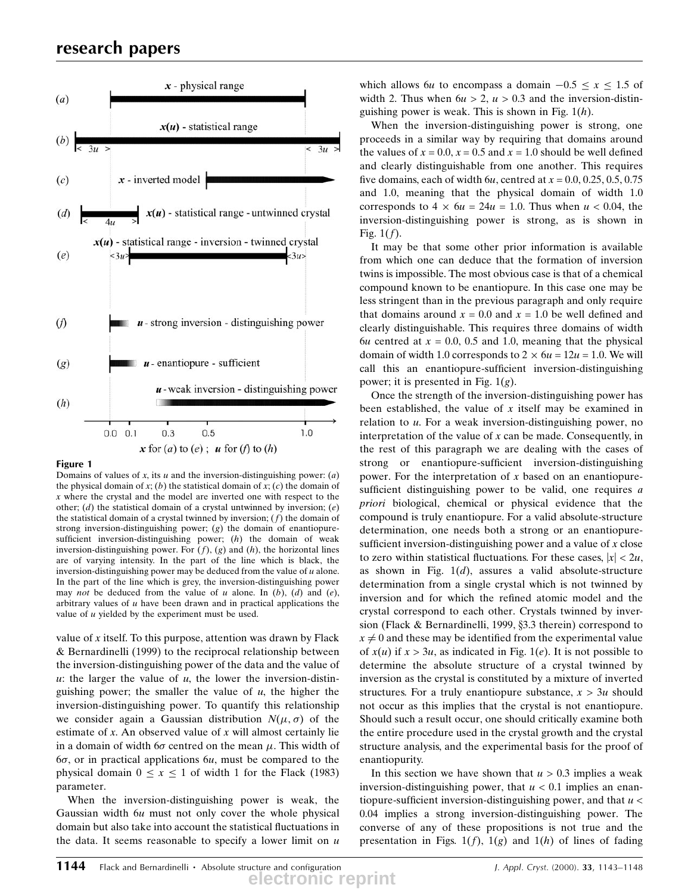

### Figure 1

Domains of values of x, its  $u$  and the inversion-distinguishing power:  $(a)$ the physical domain of  $x$ ; (b) the statistical domain of  $x$ ; (c) the domain of x where the crystal and the model are inverted one with respect to the other; (d) the statistical domain of a crystal untwinned by inversion;  $(e)$ the statistical domain of a crystal twinned by inversion;  $(f)$  the domain of strong inversion-distinguishing power; (g) the domain of enantiopuresufficient inversion-distinguishing power;  $(h)$  the domain of weak inversion-distinguishing power. For  $(f)$ ,  $(g)$  and  $(h)$ , the horizontal lines are of varying intensity. In the part of the line which is black, the inversion-distinguishing power may be deduced from the value of  $u$  alone. In the part of the line which is grey, the inversion-distinguishing power may *not* be deduced from the value of u alone. In  $(b)$ ,  $(d)$  and  $(e)$ , arbitrary values of  $u$  have been drawn and in practical applications the value of  $u$  yielded by the experiment must be used.

value of  $x$  itself. To this purpose, attention was drawn by Flack & Bernardinelli (1999) to the reciprocal relationship between the inversion-distinguishing power of the data and the value of u: the larger the value of  $u$ , the lower the inversion-distinguishing power; the smaller the value of  $u$ , the higher the inversion-distinguishing power. To quantify this relationship we consider again a Gaussian distribution  $N(\mu, \sigma)$  of the estimate of  $x$ . An observed value of  $x$  will almost certainly lie in a domain of width 6 $\sigma$  centred on the mean  $\mu$ . This width of  $6\sigma$ , or in practical applications  $6u$ , must be compared to the physical domain  $0 \le x \le 1$  of width 1 for the Flack (1983) parameter.

When the inversion-distinguishing power is weak, the Gaussian width 6u must not only cover the whole physical domain but also take into account the statistical fluctuations in the data. It seems reasonable to specify a lower limit on  $u$  which allows 6u to encompass a domain  $-0.5 \le x \le 1.5$  of width 2. Thus when  $6u > 2$ ,  $u > 0.3$  and the inversion-distinguishing power is weak. This is shown in Fig.  $1(h)$ .

When the inversion-distinguishing power is strong, one proceeds in a similar way by requiring that domains around the values of  $x = 0.0$ ,  $x = 0.5$  and  $x = 1.0$  should be well defined and clearly distinguishable from one another. This requires five domains, each of width 6u, centred at  $x = 0.0, 0.25, 0.5, 0.75$ and 1.0, meaning that the physical domain of width 1.0 corresponds to  $4 \times 6u = 24u = 1.0$ . Thus when  $u < 0.04$ , the inversion-distinguishing power is strong, as is shown in Fig.  $1(f)$ .

It may be that some other prior information is available from which one can deduce that the formation of inversion twins is impossible. The most obvious case is that of a chemical compound known to be enantiopure. In this case one may be less stringent than in the previous paragraph and only require that domains around  $x = 0.0$  and  $x = 1.0$  be well defined and clearly distinguishable. This requires three domains of width 6u centred at  $x = 0.0, 0.5$  and 1.0, meaning that the physical domain of width 1.0 corresponds to  $2 \times 6u = 12u = 1.0$ . We will call this an enantiopure-sufficient inversion-distinguishing power; it is presented in Fig.  $1(g)$ .

Once the strength of the inversion-distinguishing power has been established, the value of  $x$  itself may be examined in relation to  $u$ . For a weak inversion-distinguishing power, no interpretation of the value of  $x$  can be made. Consequently, in the rest of this paragraph we are dealing with the cases of strong or enantiopure-sufficient inversion-distinguishing power. For the interpretation of x based on an enantiopuresufficient distinguishing power to be valid, one requires  $a$ priori biological, chemical or physical evidence that the compound is truly enantiopure. For a valid absolute-structure determination, one needs both a strong or an enantiopuresufficient inversion-distinguishing power and a value of  $x$  close to zero within statistical fluctuations. For these cases,  $|x| < 2u$ , as shown in Fig.  $1(d)$ , assures a valid absolute-structure determination from a single crystal which is not twinned by inversion and for which the refined atomic model and the crystal correspond to each other. Crystals twinned by inversion (Flack  $&$  Bernardinelli, 1999,  $\S$ 3.3 therein) correspond to  $x \neq 0$  and these may be identified from the experimental value of  $x(u)$  if  $x > 3u$ , as indicated in Fig. 1(e). It is not possible to determine the absolute structure of a crystal twinned by inversion as the crystal is constituted by a mixture of inverted structures. For a truly enantiopure substance,  $x > 3u$  should not occur as this implies that the crystal is not enantiopure. Should such a result occur, one should critically examine both the entire procedure used in the crystal growth and the crystal structure analysis, and the experimental basis for the proof of enantiopurity.

In this section we have shown that  $u > 0.3$  implies a weak inversion-distinguishing power, that  $u < 0.1$  implies an enantiopure-sufficient inversion-distinguishing power, and that  $u <$ 0.04 implies a strong inversion-distinguishing power. The converse of any of these propositions is not true and the presentation in Figs.  $1(f)$ ,  $1(g)$  and  $1(h)$  of lines of fading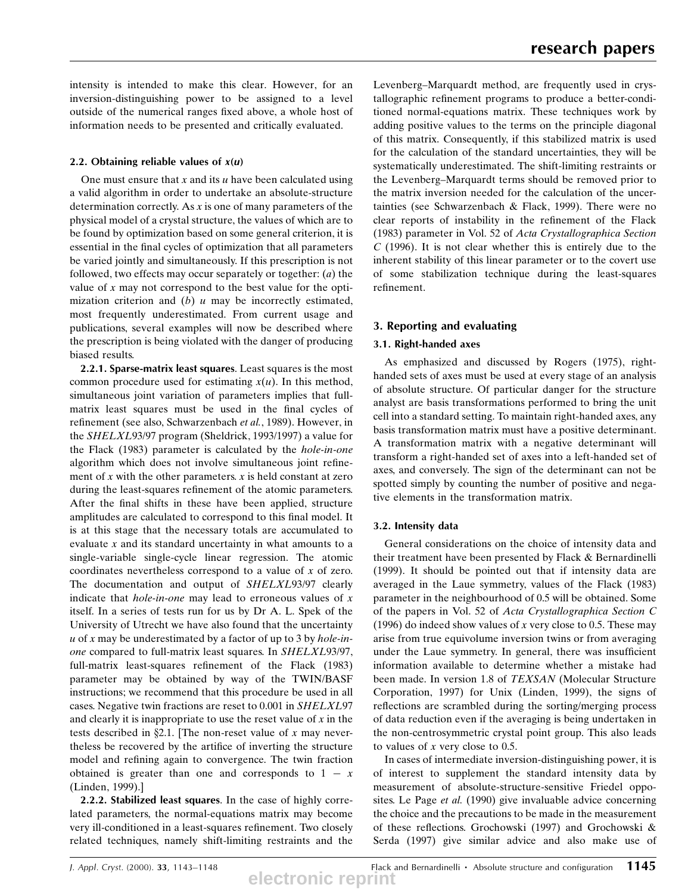intensity is intended to make this clear. However, for an inversion-distinguishing power to be assigned to a level outside of the numerical ranges fixed above, a whole host of information needs to be presented and critically evaluated.

## 2.2. Obtaining reliable values of  $x(u)$

One must ensure that  $x$  and its  $u$  have been calculated using a valid algorithm in order to undertake an absolute-structure determination correctly. As  $x$  is one of many parameters of the physical model of a crystal structure, the values of which are to be found by optimization based on some general criterion, it is essential in the final cycles of optimization that all parameters be varied jointly and simultaneously. If this prescription is not followed, two effects may occur separately or together:  $(a)$  the value of  $x$  may not correspond to the best value for the optimization criterion and  $(b)$  u may be incorrectly estimated, most frequently underestimated. From current usage and publications, several examples will now be described where the prescription is being violated with the danger of producing biased results.

2.2.1. Sparse-matrix least squares. Least squares is the most common procedure used for estimating  $x(u)$ . In this method, simultaneous joint variation of parameters implies that fullmatrix least squares must be used in the final cycles of refinement (see also, Schwarzenbach et al., 1989). However, in the SHELXL93/97 program (Sheldrick, 1993/1997) a value for the Flack (1983) parameter is calculated by the hole-in-one algorithm which does not involve simultaneous joint refinement of x with the other parameters.  $x$  is held constant at zero during the least-squares refinement of the atomic parameters. After the final shifts in these have been applied, structure amplitudes are calculated to correspond to this final model. It is at this stage that the necessary totals are accumulated to evaluate x and its standard uncertainty in what amounts to a single-variable single-cycle linear regression. The atomic coordinates nevertheless correspond to a value of x of zero. The documentation and output of SHELXL93/97 clearly indicate that *hole-in-one* may lead to erroneous values of  $x$ itself. In a series of tests run for us by Dr A. L. Spek of the University of Utrecht we have also found that the uncertainty  $u$  of x may be underestimated by a factor of up to 3 by *hole-in*one compared to full-matrix least squares. In SHELXL93/97, full-matrix least-squares refinement of the Flack (1983) parameter may be obtained by way of the TWIN/BASF instructions; we recommend that this procedure be used in all cases. Negative twin fractions are reset to 0.001 in SHELXL97 and clearly it is inappropriate to use the reset value of  $x$  in the tests described in  $\S 2.1$ . [The non-reset value of x may nevertheless be recovered by the artifice of inverting the structure model and refining again to convergence. The twin fraction obtained is greater than one and corresponds to  $1 - x$ (Linden, 1999).]

2.2.2. Stabilized least squares. In the case of highly correlated parameters, the normal-equations matrix may become very ill-conditioned in a least-squares refinement. Two closely related techniques, namely shift-limiting restraints and the Levenberg-Marquardt method, are frequently used in crystallographic refinement programs to produce a better-conditioned normal-equations matrix. These techniques work by adding positive values to the terms on the principle diagonal of this matrix. Consequently, if this stabilized matrix is used for the calculation of the standard uncertainties, they will be systematically underestimated. The shift-limiting restraints or the Levenberg-Marquardt terms should be removed prior to the matrix inversion needed for the calculation of the uncertainties (see Schwarzenbach & Flack, 1999). There were no clear reports of instability in the refinement of the Flack (1983) parameter in Vol. 52 of Acta Crystallographica Section  $C$  (1996). It is not clear whether this is entirely due to the inherent stability of this linear parameter or to the covert use of some stabilization technique during the least-squares refinement.

# 3. Reporting and evaluating

### 3.1. Right-handed axes

As emphasized and discussed by Rogers (1975), righthanded sets of axes must be used at every stage of an analysis of absolute structure. Of particular danger for the structure analyst are basis transformations performed to bring the unit cell into a standard setting. To maintain right-handed axes, any basis transformation matrix must have a positive determinant. A transformation matrix with a negative determinant will transform a right-handed set of axes into a left-handed set of axes, and conversely. The sign of the determinant can not be spotted simply by counting the number of positive and negative elements in the transformation matrix.

# 3.2. Intensity data

General considerations on the choice of intensity data and their treatment have been presented by Flack & Bernardinelli (1999). It should be pointed out that if intensity data are averaged in the Laue symmetry, values of the Flack (1983) parameter in the neighbourhood of 0.5 will be obtained. Some of the papers in Vol. 52 of Acta Crystallographica Section C (1996) do indeed show values of x very close to 0.5. These may arise from true equivolume inversion twins or from averaging under the Laue symmetry. In general, there was insufficient information available to determine whether a mistake had been made. In version 1.8 of TEXSAN (Molecular Structure Corporation, 1997) for Unix (Linden, 1999), the signs of reflections are scrambled during the sorting/merging process of data reduction even if the averaging is being undertaken in the non-centrosymmetric crystal point group. This also leads to values of  $x$  very close to 0.5.

In cases of intermediate inversion-distinguishing power, it is of interest to supplement the standard intensity data by measurement of absolute-structure-sensitive Friedel opposites. Le Page et al. (1990) give invaluable advice concerning the choice and the precautions to be made in the measurement of these reflections. Grochowski (1997) and Grochowski  $\&$ Serda (1997) give similar advice and also make use of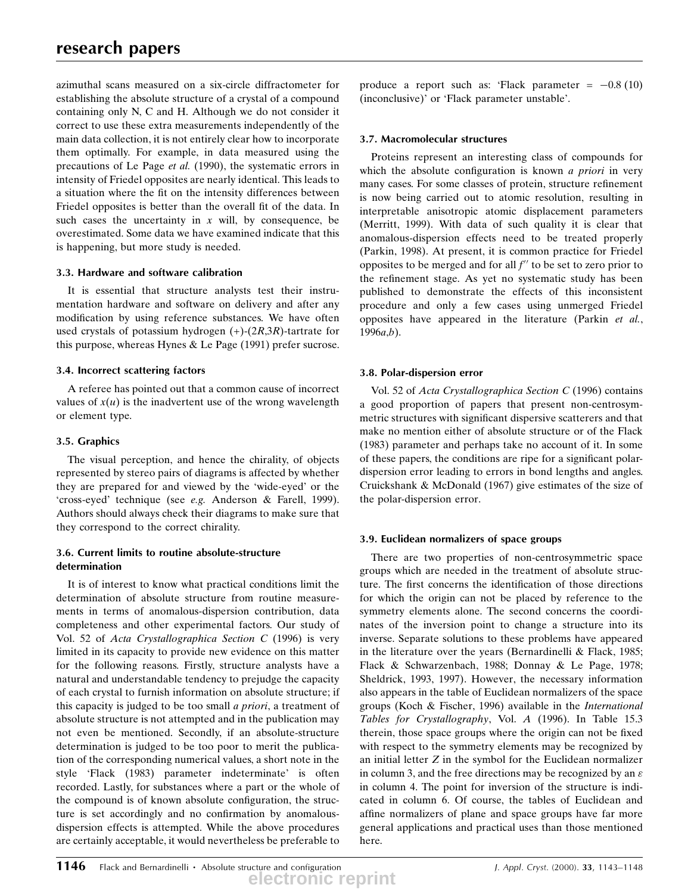azimuthal scans measured on a six-circle diffractometer for establishing the absolute structure of a crystal of a compound containing only N, C and H. Although we do not consider it correct to use these extra measurements independently of the main data collection, it is not entirely clear how to incorporate them optimally. For example, in data measured using the precautions of Le Page et al. (1990), the systematic errors in intensity of Friedel opposites are nearly identical. This leads to a situation where the fit on the intensity differences between Friedel opposites is better than the overall fit of the data. In such cases the uncertainty in  $x$  will, by consequence, be overestimated. Some data we have examined indicate that this is happening, but more study is needed.

# 3.3. Hardware and software calibration

It is essential that structure analysts test their instrumentation hardware and software on delivery and after any modification by using reference substances. We have often used crystals of potassium hydrogen  $(+)$ - $(2R,3R)$ -tartrate for this purpose, whereas Hynes & Le Page (1991) prefer sucrose.

# 3.4. Incorrect scattering factors

A referee has pointed out that a common cause of incorrect values of  $x(u)$  is the inadvertent use of the wrong wavelength or element type.

# 3.5. Graphics

The visual perception, and hence the chirality, of objects represented by stereo pairs of diagrams is affected by whether they are prepared for and viewed by the `wide-eyed' or the `cross-eyed' technique (see e.g. Anderson & Farell, 1999). Authors should always check their diagrams to make sure that they correspond to the correct chirality.

# 3.6. Current limits to routine absolute-structure determination

It is of interest to know what practical conditions limit the determination of absolute structure from routine measurements in terms of anomalous-dispersion contribution, data completeness and other experimental factors. Our study of Vol. 52 of Acta Crystallographica Section C (1996) is very limited in its capacity to provide new evidence on this matter for the following reasons. Firstly, structure analysts have a natural and understandable tendency to prejudge the capacity of each crystal to furnish information on absolute structure; if this capacity is judged to be too small a priori, a treatment of absolute structure is not attempted and in the publication may not even be mentioned. Secondly, if an absolute-structure determination is judged to be too poor to merit the publication of the corresponding numerical values, a short note in the style `Flack (1983) parameter indeterminate' is often recorded. Lastly, for substances where a part or the whole of the compound is of known absolute configuration, the structure is set accordingly and no confirmation by anomalousdispersion effects is attempted. While the above procedures are certainly acceptable, it would nevertheless be preferable to

produce a report such as: 'Flack parameter =  $-0.8$  (10) (inconclusive)' or `Flack parameter unstable'.

# 3.7. Macromolecular structures

Proteins represent an interesting class of compounds for which the absolute configuration is known  $a$  priori in very many cases. For some classes of protein, structure refinement is now being carried out to atomic resolution, resulting in interpretable anisotropic atomic displacement parameters (Merritt, 1999). With data of such quality it is clear that anomalous-dispersion effects need to be treated properly (Parkin, 1998). At present, it is common practice for Friedel opposites to be merged and for all  $f''$  to be set to zero prior to the refinement stage. As yet no systematic study has been published to demonstrate the effects of this inconsistent procedure and only a few cases using unmerged Friedel opposites have appeared in the literature (Parkin et al.,  $1996a,b$ ).

# 3.8. Polar-dispersion error

Vol. 52 of Acta Crystallographica Section C (1996) contains a good proportion of papers that present non-centrosymmetric structures with significant dispersive scatterers and that make no mention either of absolute structure or of the Flack (1983) parameter and perhaps take no account of it. In some of these papers, the conditions are ripe for a significant polardispersion error leading to errors in bond lengths and angles. Cruickshank & McDonald (1967) give estimates of the size of the polar-dispersion error.

# 3.9. Euclidean normalizers of space groups

There are two properties of non-centrosymmetric space groups which are needed in the treatment of absolute structure. The first concerns the identification of those directions for which the origin can not be placed by reference to the symmetry elements alone. The second concerns the coordinates of the inversion point to change a structure into its inverse. Separate solutions to these problems have appeared in the literature over the years (Bernardinelli & Flack, 1985; Flack & Schwarzenbach, 1988; Donnay & Le Page, 1978; Sheldrick, 1993, 1997). However, the necessary information also appears in the table of Euclidean normalizers of the space groups (Koch & Fischer, 1996) available in the International Tables for Crystallography, Vol. A (1996). In Table 15.3 therein, those space groups where the origin can not be fixed with respect to the symmetry elements may be recognized by an initial letter Z in the symbol for the Euclidean normalizer in column 3, and the free directions may be recognized by an  $\varepsilon$ in column 4. The point for inversion of the structure is indicated in column 6. Of course, the tables of Euclidean and affine normalizers of plane and space groups have far more general applications and practical uses than those mentioned here.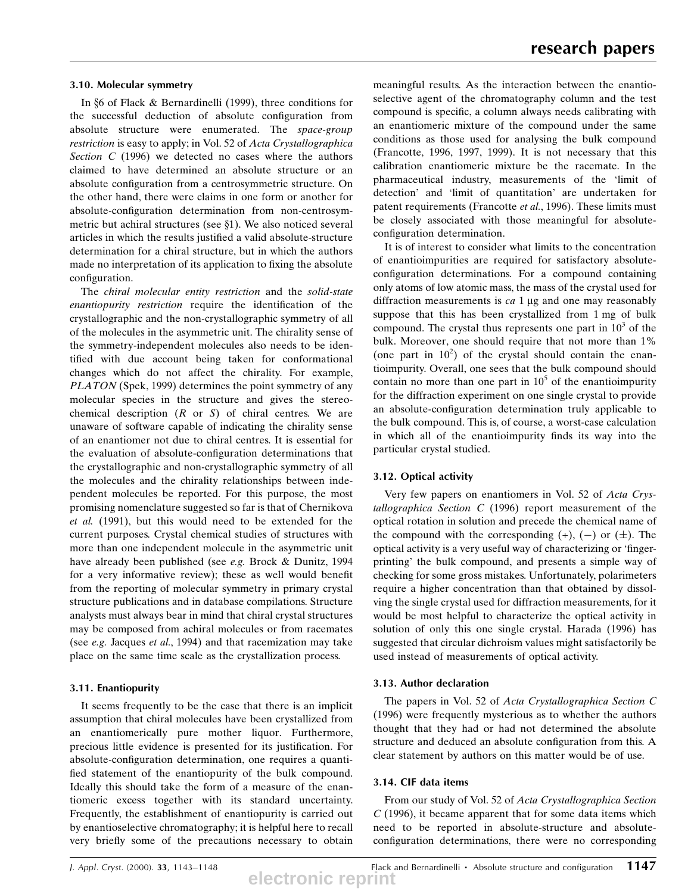#### 3.10. Molecular symmetry

In §6 of Flack & Bernardinelli (1999), three conditions for the successful deduction of absolute configuration from absolute structure were enumerated. The space-group restriction is easy to apply; in Vol. 52 of Acta Crystallographica Section C (1996) we detected no cases where the authors claimed to have determined an absolute structure or an absolute configuration from a centrosymmetric structure. On the other hand, there were claims in one form or another for absolute-configuration determination from non-centrosymmetric but achiral structures (see  $\S1$ ). We also noticed several articles in which the results justified a valid absolute-structure determination for a chiral structure, but in which the authors made no interpretation of its application to fixing the absolute configuration.

The chiral molecular entity restriction and the solid-state enantiopurity restriction require the identification of the crystallographic and the non-crystallographic symmetry of all of the molecules in the asymmetric unit. The chirality sense of the symmetry-independent molecules also needs to be identified with due account being taken for conformational changes which do not affect the chirality. For example, PLATON (Spek, 1999) determines the point symmetry of any molecular species in the structure and gives the stereochemical description  $(R \text{ or } S)$  of chiral centres. We are unaware of software capable of indicating the chirality sense of an enantiomer not due to chiral centres. It is essential for the evaluation of absolute-configuration determinations that the crystallographic and non-crystallographic symmetry of all the molecules and the chirality relationships between independent molecules be reported. For this purpose, the most promising nomenclature suggested so far is that of Chernikova et al. (1991), but this would need to be extended for the current purposes. Crystal chemical studies of structures with more than one independent molecule in the asymmetric unit have already been published (see e.g. Brock & Dunitz, 1994 for a very informative review); these as well would benefit from the reporting of molecular symmetry in primary crystal structure publications and in database compilations. Structure analysts must always bear in mind that chiral crystal structures may be composed from achiral molecules or from racemates (see e.g. Jacques et al., 1994) and that racemization may take place on the same time scale as the crystallization process.

#### 3.11. Enantiopurity

It seems frequently to be the case that there is an implicit assumption that chiral molecules have been crystallized from an enantiomerically pure mother liquor. Furthermore, precious little evidence is presented for its justification. For absolute-configuration determination, one requires a quantified statement of the enantiopurity of the bulk compound. Ideally this should take the form of a measure of the enantiomeric excess together with its standard uncertainty. Frequently, the establishment of enantiopurity is carried out by enantioselective chromatography; it is helpful here to recall very briefly some of the precautions necessary to obtain

meaningful results. As the interaction between the enantioselective agent of the chromatography column and the test compound is specific, a column always needs calibrating with an enantiomeric mixture of the compound under the same conditions as those used for analysing the bulk compound (Francotte, 1996, 1997, 1999). It is not necessary that this calibration enantiomeric mixture be the racemate. In the pharmaceutical industry, measurements of the `limit of detection' and 'limit of quantitation' are undertaken for patent requirements (Francotte et al., 1996). These limits must be closely associated with those meaningful for absoluteconfiguration determination.

It is of interest to consider what limits to the concentration of enantioimpurities are required for satisfactory absoluteconfiguration determinations. For a compound containing only atoms of low atomic mass, the mass of the crystal used for diffraction measurements is  $ca$  1  $\mu$ g and one may reasonably suppose that this has been crystallized from 1 mg of bulk compound. The crystal thus represents one part in  $10<sup>3</sup>$  of the bulk. Moreover, one should require that not more than 1% (one part in  $10<sup>2</sup>$ ) of the crystal should contain the enantioimpurity. Overall, one sees that the bulk compound should contain no more than one part in  $10<sup>5</sup>$  of the enantioimpurity for the diffraction experiment on one single crystal to provide an absolute-configuration determination truly applicable to the bulk compound. This is, of course, a worst-case calculation in which all of the enantioimpurity finds its way into the particular crystal studied.

### 3.12. Optical activity

Very few papers on enantiomers in Vol. 52 of Acta Crystallographica Section C (1996) report measurement of the optical rotation in solution and precede the chemical name of the compound with the corresponding  $(+)$ ,  $(-)$  or  $(\pm)$ . The optical activity is a very useful way of characterizing or 'fingerprinting' the bulk compound, and presents a simple way of checking for some gross mistakes. Unfortunately, polarimeters require a higher concentration than that obtained by dissolving the single crystal used for diffraction measurements, for it would be most helpful to characterize the optical activity in solution of only this one single crystal. Harada (1996) has suggested that circular dichroism values might satisfactorily be used instead of measurements of optical activity.

### 3.13. Author declaration

The papers in Vol. 52 of Acta Crystallographica Section C (1996) were frequently mysterious as to whether the authors thought that they had or had not determined the absolute structure and deduced an absolute configuration from this. A clear statement by authors on this matter would be of use.

## 3.14. CIF data items

From our study of Vol. 52 of Acta Crystallographica Section  $C$  (1996), it became apparent that for some data items which need to be reported in absolute-structure and absoluteconfiguration determinations, there were no corresponding